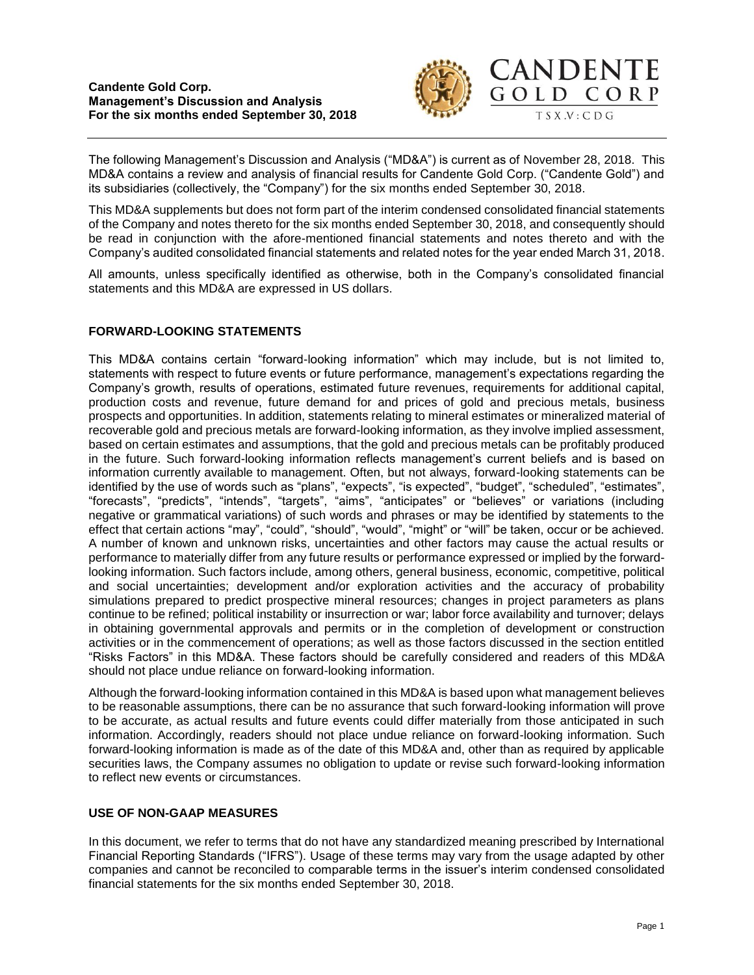

The following Management's Discussion and Analysis ("MD&A") is current as of November 28, 2018. This MD&A contains a review and analysis of financial results for Candente Gold Corp. ("Candente Gold") and its subsidiaries (collectively, the "Company") for the six months ended September 30, 2018.

This MD&A supplements but does not form part of the interim condensed consolidated financial statements of the Company and notes thereto for the six months ended September 30, 2018, and consequently should be read in conjunction with the afore-mentioned financial statements and notes thereto and with the Company's audited consolidated financial statements and related notes for the year ended March 31, 2018.

All amounts, unless specifically identified as otherwise, both in the Company's consolidated financial statements and this MD&A are expressed in US dollars.

# **FORWARD-LOOKING STATEMENTS**

This MD&A contains certain "forward-looking information" which may include, but is not limited to, statements with respect to future events or future performance, management's expectations regarding the Company's growth, results of operations, estimated future revenues, requirements for additional capital, production costs and revenue, future demand for and prices of gold and precious metals, business prospects and opportunities. In addition, statements relating to mineral estimates or mineralized material of recoverable gold and precious metals are forward-looking information, as they involve implied assessment, based on certain estimates and assumptions, that the gold and precious metals can be profitably produced in the future. Such forward-looking information reflects management's current beliefs and is based on information currently available to management. Often, but not always, forward-looking statements can be identified by the use of words such as "plans", "expects", "is expected", "budget", "scheduled", "estimates", "forecasts", "predicts", "intends", "targets", "aims", "anticipates" or "believes" or variations (including negative or grammatical variations) of such words and phrases or may be identified by statements to the effect that certain actions "may", "could", "should", "would", "might" or "will" be taken, occur or be achieved. A number of known and unknown risks, uncertainties and other factors may cause the actual results or performance to materially differ from any future results or performance expressed or implied by the forwardlooking information. Such factors include, among others, general business, economic, competitive, political and social uncertainties; development and/or exploration activities and the accuracy of probability simulations prepared to predict prospective mineral resources; changes in project parameters as plans continue to be refined; political instability or insurrection or war; labor force availability and turnover; delays in obtaining governmental approvals and permits or in the completion of development or construction activities or in the commencement of operations; as well as those factors discussed in the section entitled "Risks Factors" in this MD&A. These factors should be carefully considered and readers of this MD&A should not place undue reliance on forward-looking information.

Although the forward-looking information contained in this MD&A is based upon what management believes to be reasonable assumptions, there can be no assurance that such forward-looking information will prove to be accurate, as actual results and future events could differ materially from those anticipated in such information. Accordingly, readers should not place undue reliance on forward-looking information. Such forward-looking information is made as of the date of this MD&A and, other than as required by applicable securities laws, the Company assumes no obligation to update or revise such forward-looking information to reflect new events or circumstances.

# **USE OF NON-GAAP MEASURES**

In this document, we refer to terms that do not have any standardized meaning prescribed by International Financial Reporting Standards ("IFRS"). Usage of these terms may vary from the usage adapted by other companies and cannot be reconciled to comparable terms in the issuer's interim condensed consolidated financial statements for the six months ended September 30, 2018.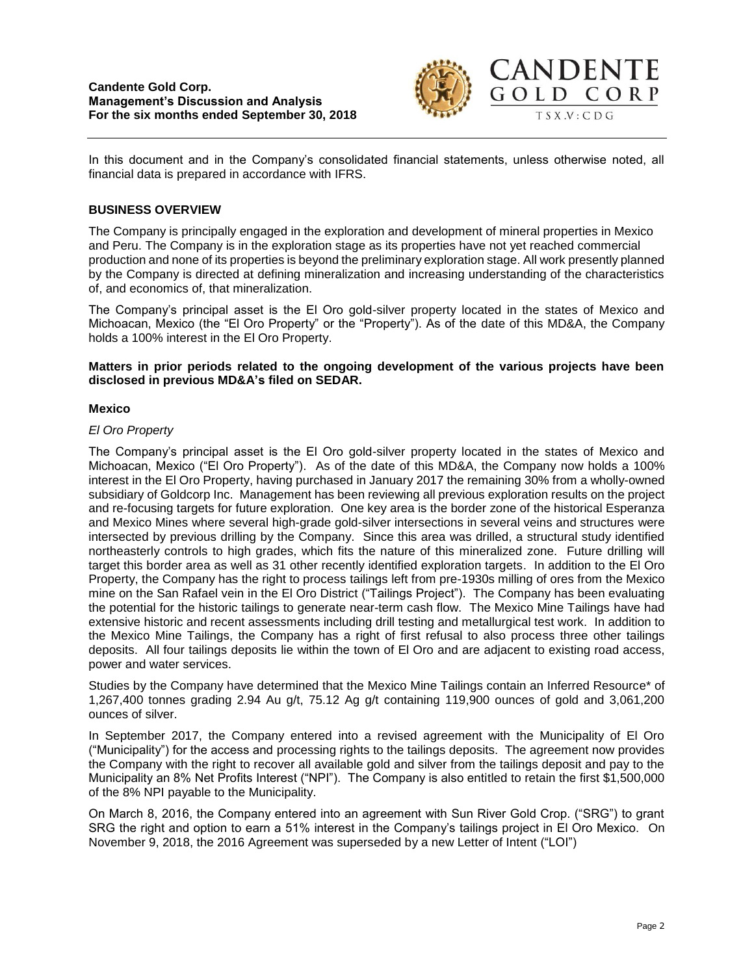

In this document and in the Company's consolidated financial statements, unless otherwise noted, all financial data is prepared in accordance with IFRS.

## **BUSINESS OVERVIEW**

The Company is principally engaged in the exploration and development of mineral properties in Mexico and Peru. The Company is in the exploration stage as its properties have not yet reached commercial production and none of its properties is beyond the preliminary exploration stage. All work presently planned by the Company is directed at defining mineralization and increasing understanding of the characteristics of, and economics of, that mineralization.

The Company's principal asset is the El Oro gold-silver property located in the states of Mexico and Michoacan, Mexico (the "El Oro Property" or the "Property"). As of the date of this MD&A, the Company holds a 100% interest in the El Oro Property.

### **Matters in prior periods related to the ongoing development of the various projects have been disclosed in previous MD&A's filed on SEDAR.**

### **Mexico**

## *El Oro Property*

The Company's principal asset is the El Oro gold-silver property located in the states of Mexico and Michoacan, Mexico ("El Oro Property"). As of the date of this MD&A, the Company now holds a 100% interest in the El Oro Property, having purchased in January 2017 the remaining 30% from a wholly-owned subsidiary of Goldcorp Inc. Management has been reviewing all previous exploration results on the project and re-focusing targets for future exploration. One key area is the border zone of the historical Esperanza and Mexico Mines where several high-grade gold-silver intersections in several veins and structures were intersected by previous drilling by the Company. Since this area was drilled, a structural study identified northeasterly controls to high grades, which fits the nature of this mineralized zone. Future drilling will target this border area as well as 31 other recently identified exploration targets. In addition to the El Oro Property, the Company has the right to process tailings left from pre-1930s milling of ores from the Mexico mine on the San Rafael vein in the El Oro District ("Tailings Project"). The Company has been evaluating the potential for the historic tailings to generate near-term cash flow. The Mexico Mine Tailings have had extensive historic and recent assessments including drill testing and metallurgical test work. In addition to the Mexico Mine Tailings, the Company has a right of first refusal to also process three other tailings deposits. All four tailings deposits lie within the town of El Oro and are adjacent to existing road access, power and water services.

Studies by the Company have determined that the Mexico Mine Tailings contain an Inferred Resource\* of 1,267,400 tonnes grading 2.94 Au g/t, 75.12 Ag g/t containing 119,900 ounces of gold and 3,061,200 ounces of silver.

In September 2017, the Company entered into a revised agreement with the Municipality of El Oro ("Municipality") for the access and processing rights to the tailings deposits. The agreement now provides the Company with the right to recover all available gold and silver from the tailings deposit and pay to the Municipality an 8% Net Profits Interest ("NPI"). The Company is also entitled to retain the first \$1,500,000 of the 8% NPI payable to the Municipality.

On March 8, 2016, the Company entered into an agreement with Sun River Gold Crop. ("SRG") to grant SRG the right and option to earn a 51% interest in the Company's tailings project in El Oro Mexico. On November 9, 2018, the 2016 Agreement was superseded by a new Letter of Intent ("LOI")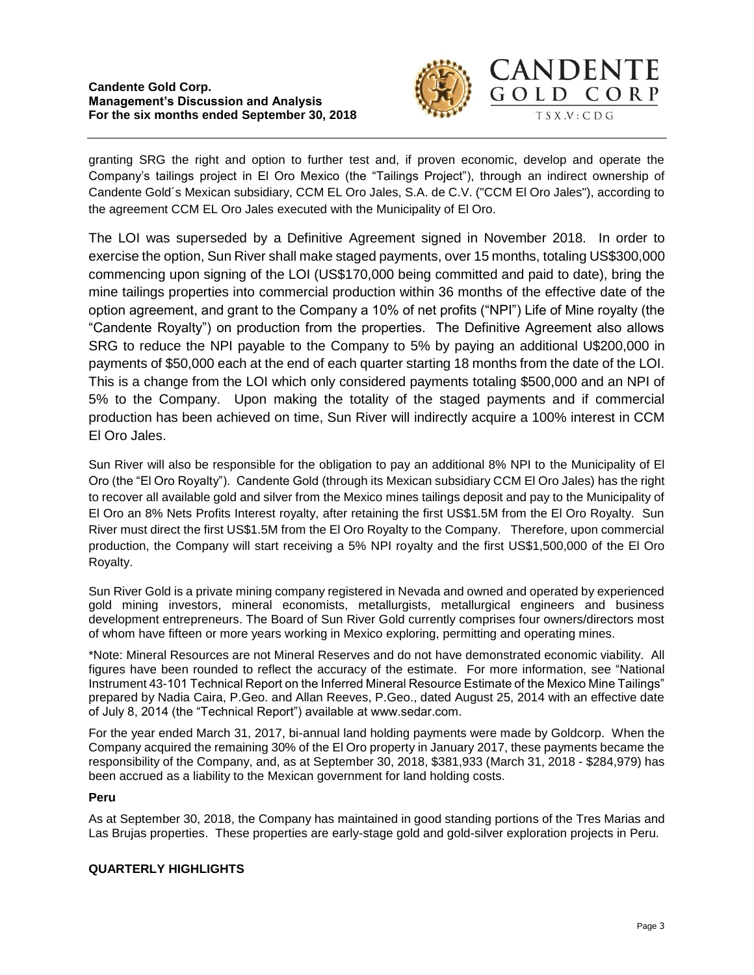

granting SRG the right and option to further test and, if proven economic, develop and operate the Company's tailings project in El Oro Mexico (the "Tailings Project"), through an indirect ownership of Candente Gold´s Mexican subsidiary, CCM EL Oro Jales, S.A. de C.V. ("CCM El Oro Jales"), according to the agreement CCM EL Oro Jales executed with the Municipality of El Oro.

The LOI was superseded by a Definitive Agreement signed in November 2018. In order to exercise the option, Sun River shall make staged payments, over 15 months, totaling US\$300,000 commencing upon signing of the LOI (US\$170,000 being committed and paid to date), bring the mine tailings properties into commercial production within 36 months of the effective date of the option agreement, and grant to the Company a 10% of net profits ("NPI") Life of Mine royalty (the "Candente Royalty") on production from the properties. The Definitive Agreement also allows SRG to reduce the NPI payable to the Company to 5% by paying an additional U\$200,000 in payments of \$50,000 each at the end of each quarter starting 18 months from the date of the LOI. This is a change from the LOI which only considered payments totaling \$500,000 and an NPI of 5% to the Company. Upon making the totality of the staged payments and if commercial production has been achieved on time, Sun River will indirectly acquire a 100% interest in CCM El Oro Jales.

Sun River will also be responsible for the obligation to pay an additional 8% NPI to the Municipality of El Oro (the "El Oro Royalty"). Candente Gold (through its Mexican subsidiary CCM El Oro Jales) has the right to recover all available gold and silver from the Mexico mines tailings deposit and pay to the Municipality of El Oro an 8% Nets Profits Interest royalty, after retaining the first US\$1.5M from the El Oro Royalty. Sun River must direct the first US\$1.5M from the El Oro Royalty to the Company. Therefore, upon commercial production, the Company will start receiving a 5% NPI royalty and the first US\$1,500,000 of the El Oro Royalty.

Sun River Gold is a private mining company registered in Nevada and owned and operated by experienced gold mining investors, mineral economists, metallurgists, metallurgical engineers and business development entrepreneurs. The Board of Sun River Gold currently comprises four owners/directors most of whom have fifteen or more years working in Mexico exploring, permitting and operating mines.

\*Note: Mineral Resources are not Mineral Reserves and do not have demonstrated economic viability. All figures have been rounded to reflect the accuracy of the estimate. For more information, see "National Instrument 43-101 Technical Report on the Inferred Mineral Resource Estimate of the Mexico Mine Tailings" prepared by Nadia Caira, P.Geo. and Allan Reeves, P.Geo., dated August 25, 2014 with an effective date of July 8, 2014 (the "Technical Report") available at www.sedar.com.

For the year ended March 31, 2017, bi-annual land holding payments were made by Goldcorp. When the Company acquired the remaining 30% of the El Oro property in January 2017, these payments became the responsibility of the Company, and, as at September 30, 2018, \$381,933 (March 31, 2018 - \$284,979) has been accrued as a liability to the Mexican government for land holding costs.

# **Peru**

As at September 30, 2018, the Company has maintained in good standing portions of the Tres Marias and Las Brujas properties. These properties are early-stage gold and gold-silver exploration projects in Peru.

# **QUARTERLY HIGHLIGHTS**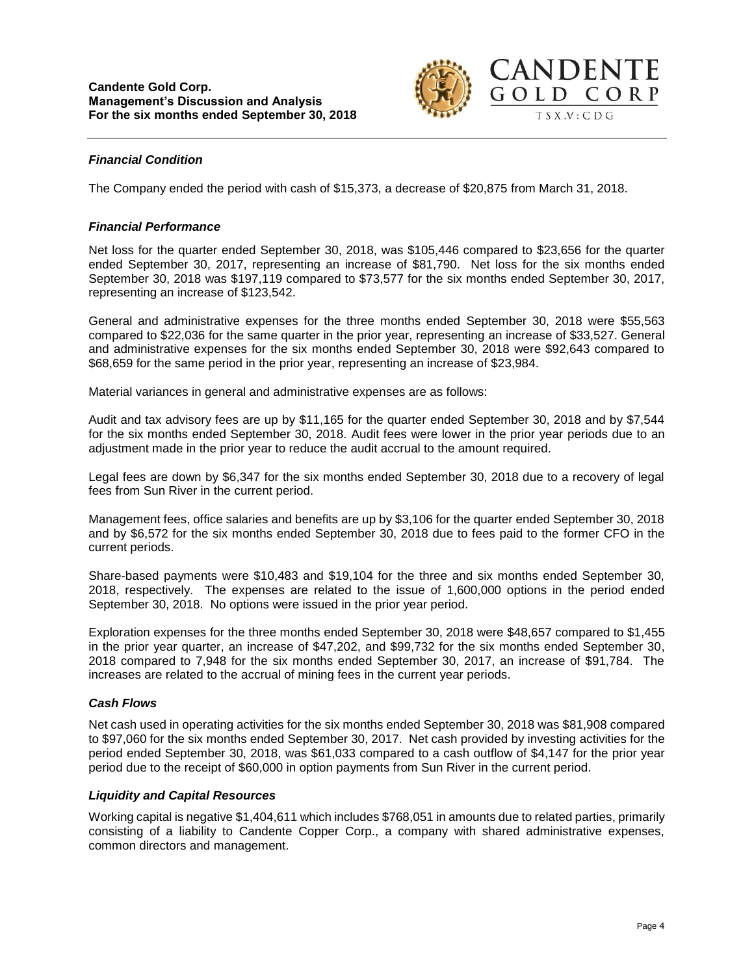

### *Financial Condition*

The Company ended the period with cash of \$15,373, a decrease of \$20,875 from March 31, 2018.

#### *Financial Performance*

Net loss for the quarter ended September 30, 2018, was \$105,446 compared to \$23,656 for the quarter ended September 30, 2017, representing an increase of \$81,790. Net loss for the six months ended September 30, 2018 was \$197,119 compared to \$73,577 for the six months ended September 30, 2017, representing an increase of \$123,542.

General and administrative expenses for the three months ended September 30, 2018 were \$55,563 compared to \$22,036 for the same quarter in the prior year, representing an increase of \$33,527. General and administrative expenses for the six months ended September 30, 2018 were \$92,643 compared to \$68,659 for the same period in the prior year, representing an increase of \$23,984.

Material variances in general and administrative expenses are as follows:

Audit and tax advisory fees are up by \$11,165 for the quarter ended September 30, 2018 and by \$7,544 for the six months ended September 30, 2018. Audit fees were lower in the prior year periods due to an adjustment made in the prior year to reduce the audit accrual to the amount required.

Legal fees are down by \$6,347 for the six months ended September 30, 2018 due to a recovery of legal fees from Sun River in the current period.

Management fees, office salaries and benefits are up by \$3,106 for the quarter ended September 30, 2018 and by \$6,572 for the six months ended September 30, 2018 due to fees paid to the former CFO in the current periods.

Share-based payments were \$10,483 and \$19,104 for the three and six months ended September 30, 2018, respectively. The expenses are related to the issue of 1,600,000 options in the period ended September 30, 2018. No options were issued in the prior year period.

Exploration expenses for the three months ended September 30, 2018 were \$48,657 compared to \$1,455 in the prior year quarter, an increase of \$47,202, and \$99,732 for the six months ended September 30, 2018 compared to 7,948 for the six months ended September 30, 2017, an increase of \$91,784. The increases are related to the accrual of mining fees in the current year periods.

### *Cash Flows*

Net cash used in operating activities for the six months ended September 30, 2018 was \$81,908 compared to \$97,060 for the six months ended September 30, 2017. Net cash provided by investing activities for the period ended September 30, 2018, was \$61,033 compared to a cash outflow of \$4,147 for the prior year period due to the receipt of \$60,000 in option payments from Sun River in the current period.

### *Liquidity and Capital Resources*

Working capital is negative \$1,404,611 which includes \$768,051 in amounts due to related parties, primarily consisting of a liability to Candente Copper Corp., a company with shared administrative expenses, common directors and management.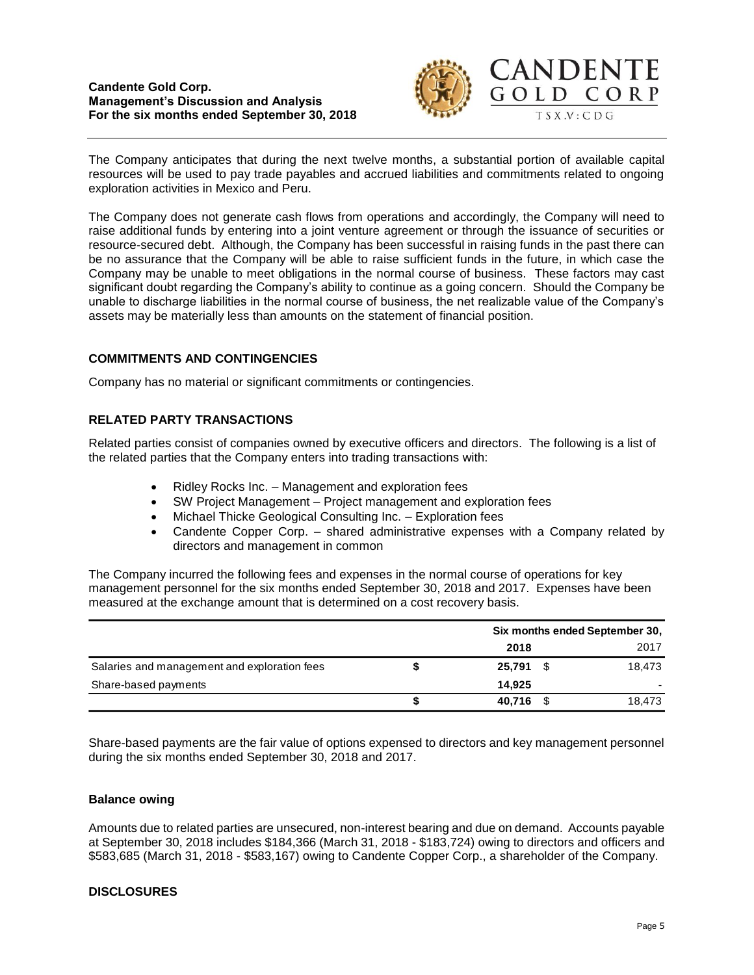#### **Candente Gold Corp. Management's Discussion and Analysis For the six months ended September 30, 2018**



The Company anticipates that during the next twelve months, a substantial portion of available capital resources will be used to pay trade payables and accrued liabilities and commitments related to ongoing exploration activities in Mexico and Peru.

The Company does not generate cash flows from operations and accordingly, the Company will need to raise additional funds by entering into a joint venture agreement or through the issuance of securities or resource-secured debt. Although, the Company has been successful in raising funds in the past there can be no assurance that the Company will be able to raise sufficient funds in the future, in which case the Company may be unable to meet obligations in the normal course of business. These factors may cast significant doubt regarding the Company's ability to continue as a going concern. Should the Company be unable to discharge liabilities in the normal course of business, the net realizable value of the Company's assets may be materially less than amounts on the statement of financial position.

## **COMMITMENTS AND CONTINGENCIES**

Company has no material or significant commitments or contingencies.

# **RELATED PARTY TRANSACTIONS**

Related parties consist of companies owned by executive officers and directors. The following is a list of the related parties that the Company enters into trading transactions with:

- Ridley Rocks Inc. Management and exploration fees
- SW Project Management Project management and exploration fees
- Michael Thicke Geological Consulting Inc. Exploration fees
- Candente Copper Corp. shared administrative expenses with a Company related by directors and management in common

The Company incurred the following fees and expenses in the normal course of operations for key management personnel for the six months ended September 30, 2018 and 2017. Expenses have been measured at the exchange amount that is determined on a cost recovery basis.

|                                              |   | Six months ended September 30, |  |        |
|----------------------------------------------|---|--------------------------------|--|--------|
|                                              |   | 2018                           |  | 2017   |
| Salaries and management and exploration fees |   | 25.791                         |  | 18.473 |
| Share-based payments                         |   | 14.925                         |  |        |
|                                              | S | 40.716                         |  | 18.473 |

Share-based payments are the fair value of options expensed to directors and key management personnel during the six months ended September 30, 2018 and 2017.

### **Balance owing**

Amounts due to related parties are unsecured, non-interest bearing and due on demand. Accounts payable at September 30, 2018 includes \$184,366 (March 31, 2018 - \$183,724) owing to directors and officers and \$583,685 (March 31, 2018 - \$583,167) owing to Candente Copper Corp., a shareholder of the Company.

### **DISCLOSURES**